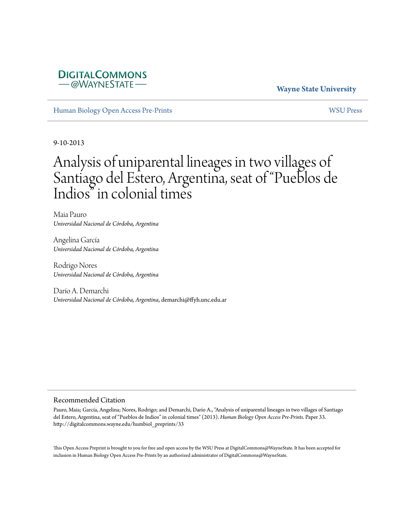# **DIGITALCOMMONS** -@WAYNESTATE

# **Wayne State University**

[Human Biology Open Access Pre-Prints](http://digitalcommons.wayne.edu/humbiol_preprints) [WSU Press](http://digitalcommons.wayne.edu/wsupress)

9-10-2013

# Analysis of uniparental lineages in two villages of Santiago del Estero, Argentina, seat of "Pueblos de Indios" in colonial times

Maia Pauro *Universidad Nacional de Córdoba, Argentina*

Angelina García *Universidad Nacional de Córdoba, Argentina*

Rodrigo Nores *Universidad Nacional de Córdoba, Argentina*

Darío A. Demarchi *Universidad Nacional de Córdoba, Argentina*, demarchi@ffyh.unc.edu.ar

#### Recommended Citation

Pauro, Maia; García, Angelina; Nores, Rodrigo; and Demarchi, Darío A., "Analysis of uniparental lineages in two villages of Santiago del Estero, Argentina, seat of "Pueblos de Indios" in colonial times" (2013). *Human Biology Open Access Pre-Prints.* Paper 33. http://digitalcommons.wayne.edu/humbiol\_preprints/33

This Open Access Preprint is brought to you for free and open access by the WSU Press at DigitalCommons@WayneState. It has been accepted for inclusion in Human Biology Open Access Pre-Prints by an authorized administrator of DigitalCommons@WayneState.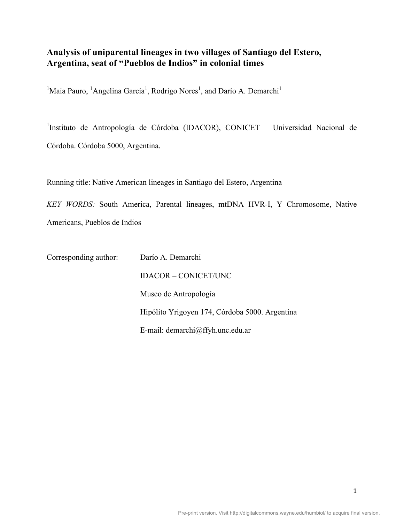# **Analysis of uniparental lineages in two villages of Santiago del Estero, Argentina, seat of "Pueblos de Indios" in colonial times**

<sup>1</sup>Maia Pauro, <sup>1</sup>Angelina García<sup>1</sup>, Rodrigo Nores<sup>1</sup>, and Darío A. Demarchi<sup>1</sup>

<sup>1</sup>Instituto de Antropología de Córdoba (IDACOR), CONICET - Universidad Nacional de Córdoba. Córdoba 5000, Argentina.

Running title: Native American lineages in Santiago del Estero, Argentina

*KEY WORDS:* South America, Parental lineages, mtDNA HVR-I, Y Chromosome, Native Americans, Pueblos de Indios

Corresponding author: Darío A. Demarchi IDACOR – CONICET/UNC Museo de Antropología Hipólito Yrigoyen 174, Córdoba 5000. Argentina E-mail: demarchi@ffyh.unc.edu.ar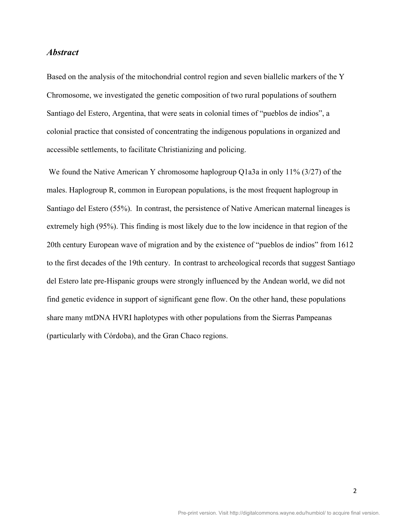### *Abstract*

Based on the analysis of the mitochondrial control region and seven biallelic markers of the Y Chromosome, we investigated the genetic composition of two rural populations of southern Santiago del Estero, Argentina, that were seats in colonial times of "pueblos de indios", a colonial practice that consisted of concentrating the indigenous populations in organized and accessible settlements, to facilitate Christianizing and policing.

We found the Native American Y chromosome haplogroup O1a3a in only 11% (3/27) of the males. Haplogroup R, common in European populations, is the most frequent haplogroup in Santiago del Estero (55%). In contrast, the persistence of Native American maternal lineages is extremely high (95%). This finding is most likely due to the low incidence in that region of the 20th century European wave of migration and by the existence of "pueblos de indios" from 1612 to the first decades of the 19th century. In contrast to archeological records that suggest Santiago del Estero late pre-Hispanic groups were strongly influenced by the Andean world, we did not find genetic evidence in support of significant gene flow. On the other hand, these populations share many mtDNA HVRI haplotypes with other populations from the Sierras Pampeanas (particularly with Córdoba), and the Gran Chaco regions.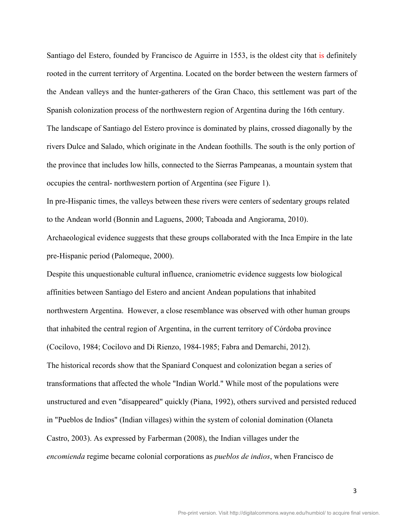Santiago del Estero, founded by Francisco de Aguirre in 1553, is the oldest city that is definitely rooted in the current territory of Argentina. Located on the border between the western farmers of the Andean valleys and the hunter-gatherers of the Gran Chaco, this settlement was part of the Spanish colonization process of the northwestern region of Argentina during the 16th century. The landscape of Santiago del Estero province is dominated by plains, crossed diagonally by the rivers Dulce and Salado, which originate in the Andean foothills. The south is the only portion of the province that includes low hills, connected to the Sierras Pampeanas, a mountain system that occupies the central- northwestern portion of Argentina (see Figure 1).

In pre-Hispanic times, the valleys between these rivers were centers of sedentary groups related to the Andean world (Bonnin and Laguens, 2000; Taboada and Angiorama, 2010).

Archaeological evidence suggests that these groups collaborated with the Inca Empire in the late pre-Hispanic period (Palomeque, 2000).

Despite this unquestionable cultural influence, craniometric evidence suggests low biological affinities between Santiago del Estero and ancient Andean populations that inhabited northwestern Argentina. However, a close resemblance was observed with other human groups that inhabited the central region of Argentina, in the current territory of Córdoba province (Cocilovo, 1984; Cocilovo and Di Rienzo, 1984-1985; Fabra and Demarchi, 2012). The historical records show that the Spaniard Conquest and colonization began a series of transformations that affected the whole "Indian World." While most of the populations were unstructured and even "disappeared" quickly (Piana, 1992), others survived and persisted reduced in "Pueblos de Indios" (Indian villages) within the system of colonial domination (Olaneta Castro, 2003). As expressed by Farberman (2008), the Indian villages under the *encomienda* regime became colonial corporations as *pueblos de indios*, when Francisco de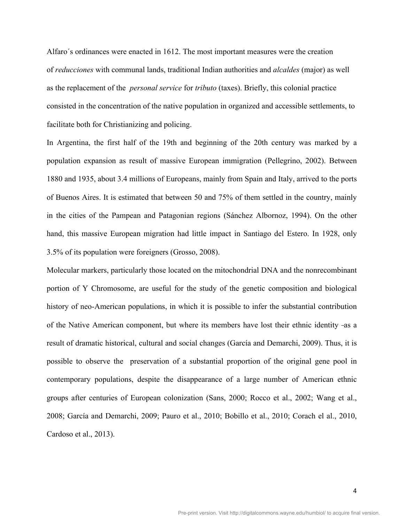Alfaro´s ordinances were enacted in 1612. The most important measures were the creation of *reducciones* with communal lands, traditional Indian authorities and *alcaldes* (major) as well as the replacement of the *personal service* for *tributo* (taxes). Briefly, this colonial practice consisted in the concentration of the native population in organized and accessible settlements, to facilitate both for Christianizing and policing.

In Argentina, the first half of the 19th and beginning of the 20th century was marked by a population expansion as result of massive European immigration (Pellegrino, 2002). Between 1880 and 1935, about 3.4 millions of Europeans, mainly from Spain and Italy, arrived to the ports of Buenos Aires. It is estimated that between 50 and 75% of them settled in the country, mainly in the cities of the Pampean and Patagonian regions (Sánchez Albornoz, 1994). On the other hand, this massive European migration had little impact in Santiago del Estero. In 1928, only 3.5% of its population were foreigners (Grosso, 2008).

Molecular markers, particularly those located on the mitochondrial DNA and the nonrecombinant portion of Y Chromosome, are useful for the study of the genetic composition and biological history of neo-American populations, in which it is possible to infer the substantial contribution of the Native American component, but where its members have lost their ethnic identity -as a result of dramatic historical, cultural and social changes (García and Demarchi, 2009). Thus, it is possible to observe the preservation of a substantial proportion of the original gene pool in contemporary populations, despite the disappearance of a large number of American ethnic groups after centuries of European colonization (Sans, 2000; Rocco et al., 2002; Wang et al., 2008; García and Demarchi, 2009; Pauro et al., 2010; Bobillo et al., 2010; Corach el al., 2010, Cardoso et al., 2013).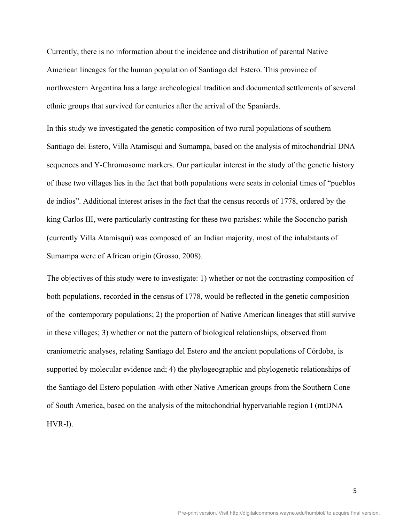Currently, there is no information about the incidence and distribution of parental Native American lineages for the human population of Santiago del Estero. This province of northwestern Argentina has a large archeological tradition and documented settlements of several ethnic groups that survived for centuries after the arrival of the Spaniards.

In this study we investigated the genetic composition of two rural populations of southern Santiago del Estero, Villa Atamisqui and Sumampa, based on the analysis of mitochondrial DNA sequences and Y-Chromosome markers. Our particular interest in the study of the genetic history of these two villages lies in the fact that both populations were seats in colonial times of "pueblos de indios". Additional interest arises in the fact that the census records of 1778, ordered by the king Carlos III, were particularly contrasting for these two parishes: while the Soconcho parish (currently Villa Atamisqui) was composed of an Indian majority, most of the inhabitants of Sumampa were of African origin (Grosso, 2008).

The objectives of this study were to investigate: 1) whether or not the contrasting composition of both populations, recorded in the census of 1778, would be reflected in the genetic composition of the contemporary populations; 2) the proportion of Native American lineages that still survive in these villages; 3) whether or not the pattern of biological relationships, observed from craniometric analyses, relating Santiago del Estero and the ancient populations of Córdoba, is supported by molecular evidence and; 4) the phylogeographic and phylogenetic relationships of the Santiago del Estero population with other Native American groups from the Southern Cone of South America, based on the analysis of the mitochondrial hypervariable region I (mtDNA HVR-I).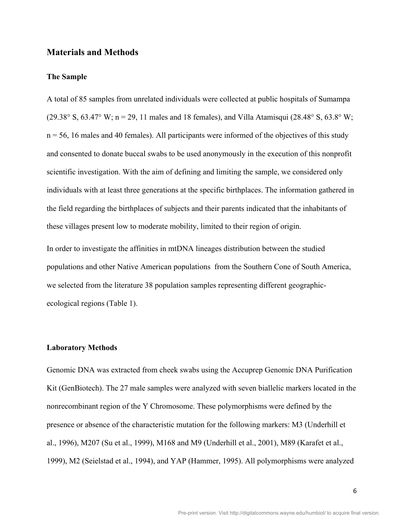## **Materials and Methods**

#### **The Sample**

A total of 85 samples from unrelated individuals were collected at public hospitals of Sumampa (29.38° S, 63.47° W; n = 29, 11 males and 18 females), and Villa Atamisqui (28.48° S, 63.8° W;  $n = 56$ , 16 males and 40 females). All participants were informed of the objectives of this study and consented to donate buccal swabs to be used anonymously in the execution of this nonprofit scientific investigation. With the aim of defining and limiting the sample, we considered only individuals with at least three generations at the specific birthplaces. The information gathered in the field regarding the birthplaces of subjects and their parents indicated that the inhabitants of these villages present low to moderate mobility, limited to their region of origin.

In order to investigate the affinities in mtDNA lineages distribution between the studied populations and other Native American populations from the Southern Cone of South America, we selected from the literature 38 population samples representing different geographicecological regions (Table 1).

#### **Laboratory Methods**

Genomic DNA was extracted from cheek swabs using the Accuprep Genomic DNA Purification Kit (GenBiotech). The 27 male samples were analyzed with seven biallelic markers located in the nonrecombinant region of the Y Chromosome. These polymorphisms were defined by the presence or absence of the characteristic mutation for the following markers: M3 (Underhill et al., 1996), M207 (Su et al., 1999), M168 and M9 (Underhill et al., 2001), M89 (Karafet et al., 1999), M2 (Seielstad et al., 1994), and YAP (Hammer, 1995). All polymorphisms were analyzed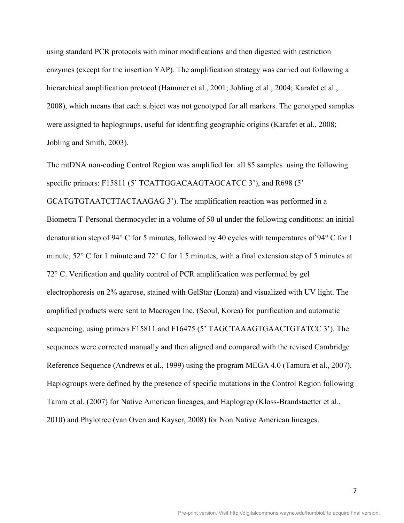using standard PCR protocols with minor modifications and then digested with restriction enzymes (except for the insertion YAP). The amplification strategy was carried out following a hierarchical amplification protocol (Hammer et al., 2001; Jobling et al., 2004; Karafet et al., 2008), which means that each subject was not genotyped for all markers. The genotyped samples were assigned to haplogroups, useful for identifing geographic origins (Karafet et al., 2008; Jobling and Smith, 2003).

The mtDNA non-coding Control Region was amplified for all 85 samples using the following specific primers: F15811 (5' TCATTGGACAAGTAGCATCC 3'), and R698 (5' GCATGTGTAATCTTACTAAGAG 3'). The amplification reaction was performed in a Biometra T-Personal thermocycler in a volume of 50 ul under the following conditions: an initial denaturation step of 94° C for 5 minutes, followed by 40 cycles with temperatures of 94° C for 1 minute, 52° C for 1 minute and 72° C for 1.5 minutes, with a final extension step of 5 minutes at 72° C. Verification and quality control of PCR amplification was performed by gel electrophoresis on 2% agarose, stained with GelStar (Lonza) and visualized with UV light. The amplified products were sent to Macrogen Inc. (Seoul, Korea) for purification and automatic sequencing, using primers F15811 and F16475 (5' TAGCTAAAGTGAACTGTATCC 3'). The sequences were corrected manually and then aligned and compared with the revised Cambridge Reference Sequence (Andrews et al., 1999) using the program MEGA 4.0 (Tamura et al., 2007). Haplogroups were defined by the presence of specific mutations in the Control Region following Tamm et al. (2007) for Native American lineages, and Haplogrep (Kloss-Brandstaetter et al., 2010) and Phylotree (van Oven and Kayser, 2008) for Non Native American lineages.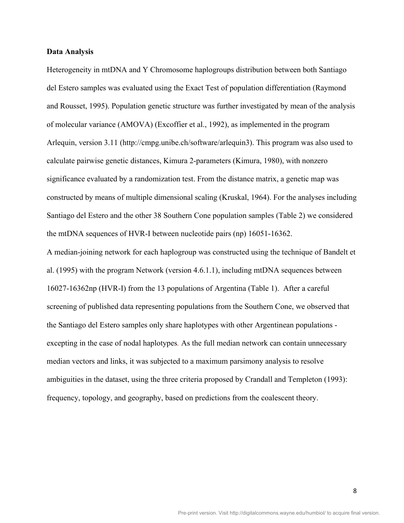#### **Data Analysis**

Heterogeneity in mtDNA and Y Chromosome haplogroups distribution between both Santiago del Estero samples was evaluated using the Exact Test of population differentiation (Raymond and Rousset, 1995). Population genetic structure was further investigated by mean of the analysis of molecular variance (AMOVA) (Excoffier et al., 1992), as implemented in the program Arlequin, version 3.11 (http://cmpg.unibe.ch/software/arlequin3). This program was also used to calculate pairwise genetic distances, Kimura 2-parameters (Kimura, 1980), with nonzero significance evaluated by a randomization test. From the distance matrix, a genetic map was constructed by means of multiple dimensional scaling (Kruskal, 1964). For the analyses including Santiago del Estero and the other 38 Southern Cone population samples (Table 2) we considered the mtDNA sequences of HVR-I between nucleotide pairs (np) 16051-16362.

A median-joining network for each haplogroup was constructed using the technique of Bandelt et al. (1995) with the program Network (version 4.6.1.1), including mtDNA sequences between 16027-16362np (HVR-I) from the 13 populations of Argentina (Table 1). After a careful screening of published data representing populations from the Southern Cone, we observed that the Santiago del Estero samples only share haplotypes with other Argentinean populations excepting in the case of nodal haplotypes*.* As the full median network can contain unnecessary median vectors and links, it was subjected to a maximum parsimony analysis to resolve ambiguities in the dataset, using the three criteria proposed by Crandall and Templeton (1993): frequency, topology, and geography, based on predictions from the coalescent theory.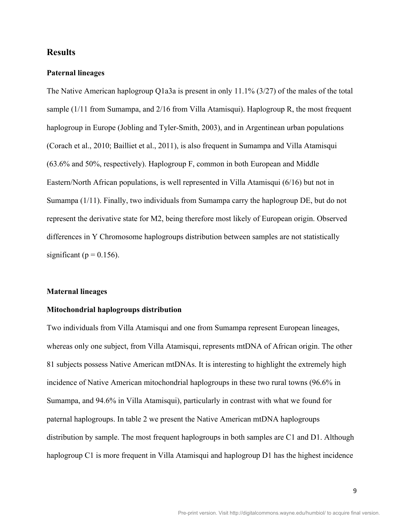# **Results**

#### **Paternal lineages**

The Native American haplogroup Q1a3a is present in only 11.1% (3/27) of the males of the total sample (1/11 from Sumampa, and 2/16 from Villa Atamisqui). Haplogroup R, the most frequent haplogroup in Europe (Jobling and Tyler-Smith, 2003), and in Argentinean urban populations (Corach et al., 2010; Bailliet et al., 2011), is also frequent in Sumampa and Villa Atamisqui (63.6% and 50%, respectively). Haplogroup F, common in both European and Middle Eastern/North African populations, is well represented in Villa Atamisqui (6/16) but not in Sumampa (1/11). Finally, two individuals from Sumampa carry the haplogroup DE, but do not represent the derivative state for M2, being therefore most likely of European origin. Observed differences in Y Chromosome haplogroups distribution between samples are not statistically significant ( $p = 0.156$ ).

#### **Maternal lineages**

#### **Mitochondrial haplogroups distribution**

Two individuals from Villa Atamisqui and one from Sumampa represent European lineages, whereas only one subject, from Villa Atamisqui, represents mtDNA of African origin. The other 81 subjects possess Native American mtDNAs. It is interesting to highlight the extremely high incidence of Native American mitochondrial haplogroups in these two rural towns (96.6% in Sumampa, and 94.6% in Villa Atamisqui), particularly in contrast with what we found for paternal haplogroups. In table 2 we present the Native American mtDNA haplogroups distribution by sample. The most frequent haplogroups in both samples are C1 and D1. Although haplogroup C1 is more frequent in Villa Atamisqui and haplogroup D1 has the highest incidence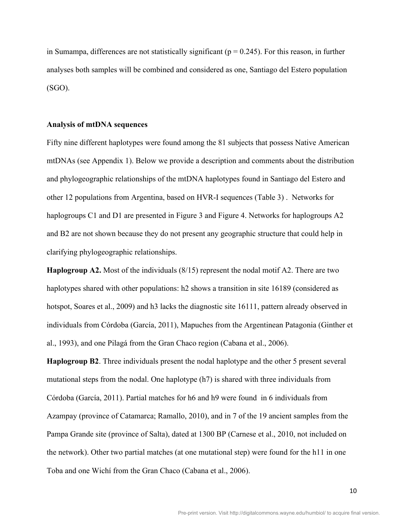in Sumampa, differences are not statistically significant ( $p = 0.245$ ). For this reason, in further analyses both samples will be combined and considered as one, Santiago del Estero population (SGO).

#### **Analysis of mtDNA sequences**

Fifty nine different haplotypes were found among the 81 subjects that possess Native American mtDNAs (see Appendix 1). Below we provide a description and comments about the distribution and phylogeographic relationships of the mtDNA haplotypes found in Santiago del Estero and other 12 populations from Argentina, based on HVR-I sequences (Table 3) . Networks for haplogroups C1 and D1 are presented in Figure 3 and Figure 4. Networks for haplogroups A2 and B2 are not shown because they do not present any geographic structure that could help in clarifying phylogeographic relationships.

**Haplogroup A2.** Most of the individuals (8/15) represent the nodal motif A2. There are two haplotypes shared with other populations: h2 shows a transition in site 16189 (considered as hotspot, Soares et al., 2009) and h3 lacks the diagnostic site 16111, pattern already observed in individuals from Córdoba (García, 2011), Mapuches from the Argentinean Patagonia (Ginther et al., 1993), and one Pilagá from the Gran Chaco region (Cabana et al., 2006).

**Haplogroup B2**. Three individuals present the nodal haplotype and the other 5 present several mutational steps from the nodal. One haplotype (h7) is shared with three individuals from Córdoba (García, 2011). Partial matches for h6 and h9 were found in 6 individuals from Azampay (province of Catamarca; Ramallo, 2010), and in 7 of the 19 ancient samples from the Pampa Grande site (province of Salta), dated at 1300 BP (Carnese et al., 2010, not included on the network). Other two partial matches (at one mutational step) were found for the h11 in one Toba and one Wichí from the Gran Chaco (Cabana et al., 2006).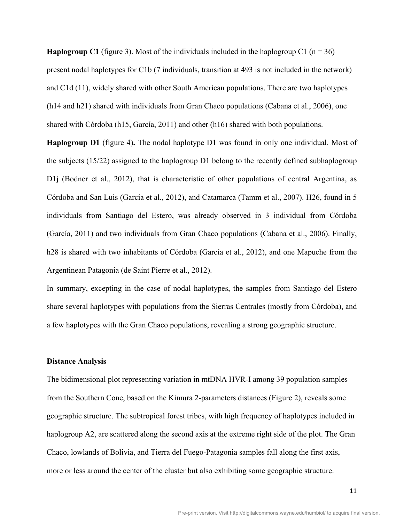**Haplogroup C1** (figure 3). Most of the individuals included in the haplogroup C1 ( $n = 36$ ) present nodal haplotypes for C1b (7 individuals, transition at 493 is not included in the network) and C1d (11), widely shared with other South American populations. There are two haplotypes (h14 and h21) shared with individuals from Gran Chaco populations (Cabana et al., 2006), one shared with Córdoba (h15, García, 2011) and other (h16) shared with both populations.

**Haplogroup D1** (figure 4)**.** The nodal haplotype D1 was found in only one individual. Most of the subjects (15/22) assigned to the haplogroup D1 belong to the recently defined subhaplogroup D1*j* (Bodner et al., 2012), that is characteristic of other populations of central Argentina, as Córdoba and San Luis (García et al., 2012), and Catamarca (Tamm et al., 2007). H26, found in 5 individuals from Santiago del Estero, was already observed in 3 individual from Córdoba (García, 2011) and two individuals from Gran Chaco populations (Cabana et al., 2006). Finally, h28 is shared with two inhabitants of Córdoba (García et al., 2012), and one Mapuche from the Argentinean Patagonia (de Saint Pierre et al., 2012).

In summary, excepting in the case of nodal haplotypes, the samples from Santiago del Estero share several haplotypes with populations from the Sierras Centrales (mostly from Córdoba), and a few haplotypes with the Gran Chaco populations, revealing a strong geographic structure.

#### **Distance Analysis**

The bidimensional plot representing variation in mtDNA HVR-I among 39 population samples from the Southern Cone, based on the Kimura 2-parameters distances (Figure 2), reveals some geographic structure. The subtropical forest tribes, with high frequency of haplotypes included in haplogroup A2, are scattered along the second axis at the extreme right side of the plot. The Gran Chaco, lowlands of Bolivia, and Tierra del Fuego-Patagonia samples fall along the first axis, more or less around the center of the cluster but also exhibiting some geographic structure.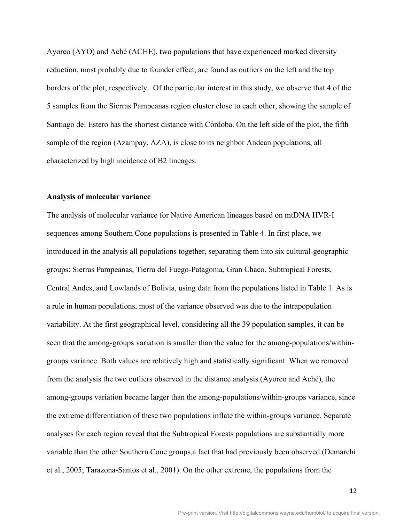Ayoreo (AYO) and Aché (ACHE), two populations that have experienced marked diversity reduction, most probably due to founder effect, are found as outliers on the left and the top borders of the plot, respectively. Of the particular interest in this study, we observe that 4 of the 5 samples from the Sierras Pampeanas region cluster close to each other, showing the sample of Santiago del Estero has the shortest distance with Córdoba. On the left side of the plot, the fifth sample of the region (Azampay, AZA), is close to its neighbor Andean populations, all characterized by high incidence of B2 lineages.

#### **Analysis of molecular variance**

The analysis of molecular variance for Native American lineages based on mtDNA HVR-I sequences among Southern Cone populations is presented in Table 4. In first place, we introduced in the analysis all populations together, separating them into six cultural-geographic groups: Sierras Pampeanas, Tierra del Fuego-Patagonia, Gran Chaco, Subtropical Forests, Central Andes, and Lowlands of Bolivia, using data from the populations listed in Table 1. As is a rule in human populations, most of the variance observed was due to the intrapopulation variability. At the first geographical level, considering all the 39 population samples, it can be seen that the among-groups variation is smaller than the value for the among-populations/withingroups variance. Both values are relatively high and statistically significant. When we removed from the analysis the two outliers observed in the distance analysis (Ayoreo and Aché), the among-groups variation became larger than the among-populations/within-groups variance, since the extreme differentiation of these two populations inflate the within-groups variance. Separate analyses for each region reveal that the Subtropical Forests populations are substantially more variable than the other Southern Cone groups,a fact that had previously been observed (Demarchi et al., 2005; Tarazona-Santos et al., 2001). On the other extreme, the populations from the

12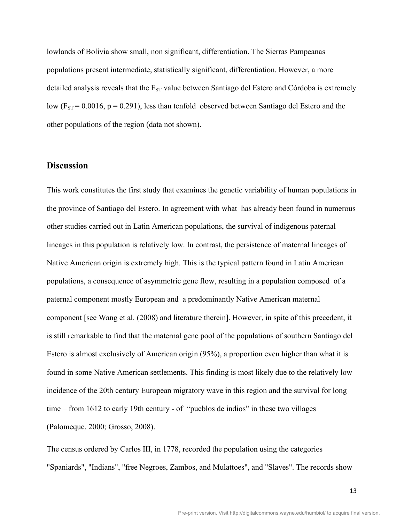lowlands of Bolivia show small, non significant, differentiation. The Sierras Pampeanas populations present intermediate, statistically significant, differentiation. However, a more detailed analysis reveals that the  $F_{ST}$  value between Santiago del Estero and Córdoba is extremely low  $(F_{ST} = 0.0016, p = 0.291)$ , less than tenfold observed between Santiago del Estero and the other populations of the region (data not shown).

# **Discussion**

This work constitutes the first study that examines the genetic variability of human populations in the province of Santiago del Estero. In agreement with what has already been found in numerous other studies carried out in Latin American populations, the survival of indigenous paternal lineages in this population is relatively low. In contrast, the persistence of maternal lineages of Native American origin is extremely high. This is the typical pattern found in Latin American populations, a consequence of asymmetric gene flow, resulting in a population composed of a paternal component mostly European and a predominantly Native American maternal component [see Wang et al. (2008) and literature therein]. However, in spite of this precedent, it is still remarkable to find that the maternal gene pool of the populations of southern Santiago del Estero is almost exclusively of American origin (95%), a proportion even higher than what it is found in some Native American settlements. This finding is most likely due to the relatively low incidence of the 20th century European migratory wave in this region and the survival for long time – from 1612 to early 19th century - of "pueblos de indios" in these two villages (Palomeque, 2000; Grosso, 2008).

The census ordered by Carlos III, in 1778, recorded the population using the categories "Spaniards", "Indians", "free Negroes, Zambos, and Mulattoes", and "Slaves". The records show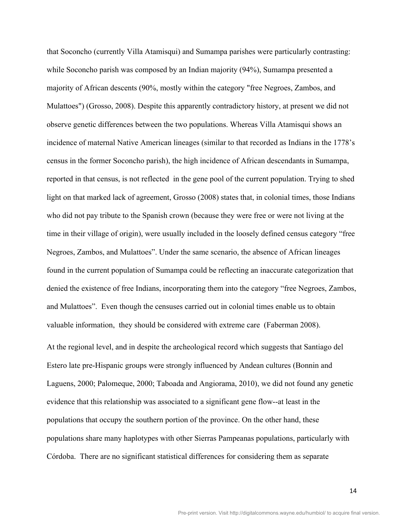that Soconcho (currently Villa Atamisqui) and Sumampa parishes were particularly contrasting: while Soconcho parish was composed by an Indian majority (94%), Sumampa presented a majority of African descents (90%, mostly within the category "free Negroes, Zambos, and Mulattoes") (Grosso, 2008). Despite this apparently contradictory history, at present we did not observe genetic differences between the two populations. Whereas Villa Atamisqui shows an incidence of maternal Native American lineages (similar to that recorded as Indians in the 1778's census in the former Soconcho parish), the high incidence of African descendants in Sumampa, reported in that census, is not reflected in the gene pool of the current population. Trying to shed light on that marked lack of agreement, Grosso (2008) states that, in colonial times, those Indians who did not pay tribute to the Spanish crown (because they were free or were not living at the time in their village of origin), were usually included in the loosely defined census category "free Negroes, Zambos, and Mulattoes". Under the same scenario, the absence of African lineages found in the current population of Sumampa could be reflecting an inaccurate categorization that denied the existence of free Indians, incorporating them into the category "free Negroes, Zambos, and Mulattoes". Even though the censuses carried out in colonial times enable us to obtain valuable information, they should be considered with extreme care (Faberman 2008). At the regional level, and in despite the archeological record which suggests that Santiago del Estero late pre-Hispanic groups were strongly influenced by Andean cultures (Bonnin and Laguens, 2000; Palomeque, 2000; Taboada and Angiorama, 2010), we did not found any genetic evidence that this relationship was associated to a significant gene flow--at least in the

populations share many haplotypes with other Sierras Pampeanas populations, particularly with Córdoba. There are no significant statistical differences for considering them as separate

populations that occupy the southern portion of the province. On the other hand, these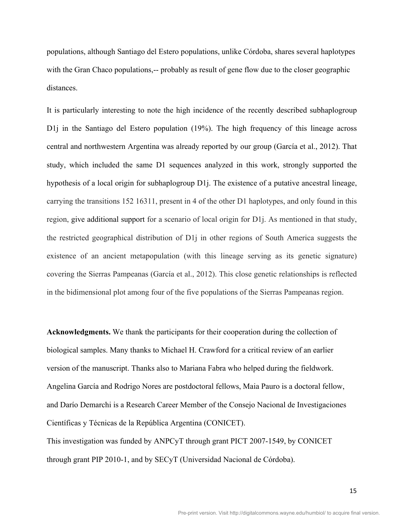populations, although Santiago del Estero populations, unlike Córdoba, shares several haplotypes with the Gran Chaco populations,-- probably as result of gene flow due to the closer geographic distances.

It is particularly interesting to note the high incidence of the recently described subhaplogroup D1*j* in the Santiago del Estero population (19%). The high frequency of this lineage across central and northwestern Argentina was already reported by our group (García et al., 2012). That study, which included the same D1 sequences analyzed in this work, strongly supported the hypothesis of a local origin for subhaplogroup D1j. The existence of a putative ancestral lineage, carrying the transitions 152 16311, present in 4 of the other D1 haplotypes, and only found in this region, give additional support for a scenario of local origin for D1j. As mentioned in that study, the restricted geographical distribution of D1j in other regions of South America suggests the existence of an ancient metapopulation (with this lineage serving as its genetic signature) covering the Sierras Pampeanas (García et al., 2012). This close genetic relationships is reflected in the bidimensional plot among four of the five populations of the Sierras Pampeanas region.

**Acknowledgments.** We thank the participants for their cooperation during the collection of biological samples. Many thanks to Michael H. Crawford for a critical review of an earlier version of the manuscript. Thanks also to Mariana Fabra who helped during the fieldwork. Angelina García and Rodrigo Nores are postdoctoral fellows, Maia Pauro is a doctoral fellow, and Darío Demarchi is a Research Career Member of the Consejo Nacional de Investigaciones Científicas y Técnicas de la República Argentina (CONICET).

This investigation was funded by ANPCyT through grant PICT 2007-1549, by CONICET through grant PIP 2010-1, and by SECyT (Universidad Nacional de Córdoba).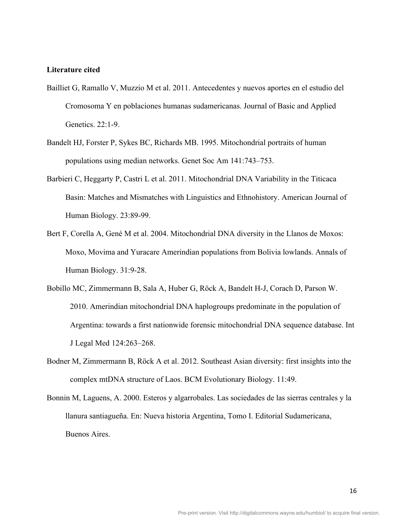#### **Literature cited**

- Bailliet G, Ramallo V, Muzzio M et al. 2011. Antecedentes y nuevos aportes en el estudio del Cromosoma Y en poblaciones humanas sudamericanas. Journal of Basic and Applied Genetics. 22:1-9.
- Bandelt HJ, Forster P, Sykes BC, Richards MB. 1995. Mitochondrial portraits of human populations using median networks. Genet Soc Am 141:743–753.
- Barbieri C, Heggarty P, Castri L et al. 2011. Mitochondrial DNA Variability in the Titicaca Basin: Matches and Mismatches with Linguistics and Ethnohistory. American Journal of Human Biology. 23:89-99.
- Bert F, Corella A, Gené M et al. 2004. Mitochondrial DNA diversity in the Llanos de Moxos: Moxo, Movima and Yuracare Amerindian populations from Bolivia lowlands. Annals of Human Biology. 31:9-28.
- Bobillo MC, Zimmermann B, Sala A, Huber G, Röck A, Bandelt H-J, Corach D, Parson W. 2010. Amerindian mitochondrial DNA haplogroups predominate in the population of Argentina: towards a first nationwide forensic mitochondrial DNA sequence database. Int J Legal Med 124:263–268.
- Bodner M, Zimmermann B, Röck A et al. 2012. Southeast Asian diversity: first insights into the complex mtDNA structure of Laos. BCM Evolutionary Biology. 11:49.
- Bonnin M, Laguens, A. 2000. Esteros y algarrobales. Las sociedades de las sierras centrales y la llanura santiagueña. En: Nueva historia Argentina, Tomo I. Editorial Sudamericana, Buenos Aires.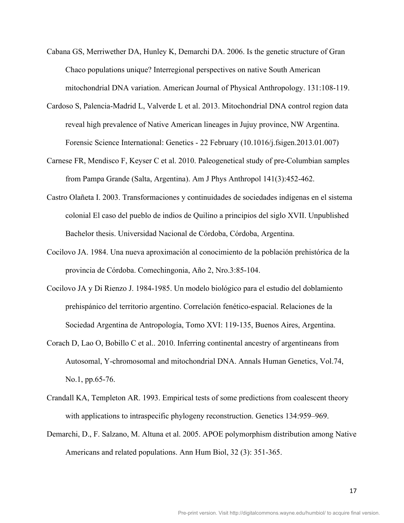- Cabana GS, Merriwether DA, Hunley K, Demarchi DA. 2006. Is the genetic structure of Gran Chaco populations unique? Interregional perspectives on native South American mitochondrial DNA variation. American Journal of Physical Anthropology. 131:108-119.
- Cardoso S, Palencia-Madrid L, Valverde L et al. 2013. Mitochondrial DNA control region data reveal high prevalence of Native American lineages in Jujuy province, NW Argentina. Forensic Science International: Genetics - 22 February (10.1016/j.fsigen.2013.01.007)
- Carnese FR, Mendisco F, Keyser C et al. 2010. Paleogenetical study of pre-Columbian samples from Pampa Grande (Salta, Argentina). Am J Phys Anthropol 141(3):452-462.
- Castro Olañeta I. 2003. Transformaciones y continuidades de sociedades indígenas en el sistema colonial El caso del pueblo de indios de Quilino a principios del siglo XVII. Unpublished Bachelor thesis. Universidad Nacional de Córdoba, Córdoba, Argentina.
- Cocilovo JA. 1984. Una nueva aproximación al conocimiento de la población prehistórica de la provincia de Córdoba. Comechingonia, Año 2, Nro.3:85-104.
- Cocilovo JA y Di Rienzo J. 1984-1985. Un modelo biológico para el estudio del doblamiento prehispánico del territorio argentino. Correlación fenético-espacial. Relaciones de la Sociedad Argentina de Antropología, Tomo XVI: 119-135, Buenos Aires, Argentina.
- Corach D, Lao O, Bobillo C et al.. 2010. Inferring continental ancestry of argentineans from Autosomal, Y-chromosomal and mitochondrial DNA. Annals Human Genetics, Vol.74, No.1, pp.65-76.
- Crandall KA, Templeton AR. 1993. Empirical tests of some predictions from coalescent theory with applications to intraspecific phylogeny reconstruction. Genetics 134:959–969.
- Demarchi, D., F. Salzano, M. Altuna et al. 2005. APOE polymorphism distribution among Native Americans and related populations. Ann Hum Biol, 32 (3): 351-365.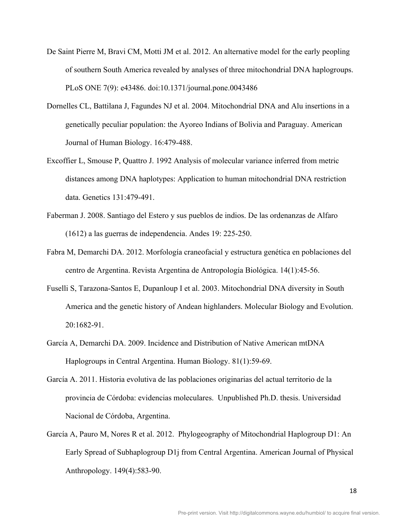- De Saint Pierre M, Bravi CM, Motti JM et al. 2012. An alternative model for the early peopling of southern South America revealed by analyses of three mitochondrial DNA haplogroups. PLoS ONE 7(9): e43486. doi:10.1371/journal.pone.0043486
- Dornelles CL, Battilana J, Fagundes NJ et al. 2004. Mitochondrial DNA and Alu insertions in a genetically peculiar population: the Ayoreo Indians of Bolivia and Paraguay. American Journal of Human Biology. 16:479-488.
- Excoffier L, Smouse P, Quattro J. 1992 Analysis of molecular variance inferred from metric distances among DNA haplotypes: Application to human mitochondrial DNA restriction data. Genetics 131:479-491.
- Faberman J. 2008. Santiago del Estero y sus pueblos de indios. De las ordenanzas de Alfaro (1612) a las guerras de independencia. Andes 19: 225-250.
- Fabra M, Demarchi DA. 2012. Morfología craneofacial y estructura genética en poblaciones del centro de Argentina. Revista Argentina de Antropología Biológica. 14(1):45-56.
- Fuselli S, Tarazona-Santos E, Dupanloup I et al. 2003. Mitochondrial DNA diversity in South America and the genetic history of Andean highlanders. Molecular Biology and Evolution. 20:1682-91.
- García A, Demarchi DA. 2009. Incidence and Distribution of Native American mtDNA Haplogroups in Central Argentina. Human Biology. 81(1):59-69.
- García A. 2011. Historia evolutiva de las poblaciones originarias del actual territorio de la provincia de Córdoba: evidencias moleculares. Unpublished Ph.D. thesis. Universidad Nacional de Córdoba, Argentina.
- García A, Pauro M, Nores R et al. 2012. Phylogeography of Mitochondrial Haplogroup D1: An Early Spread of Subhaplogroup D1j from Central Argentina. American Journal of Physical Anthropology. 149(4):583-90.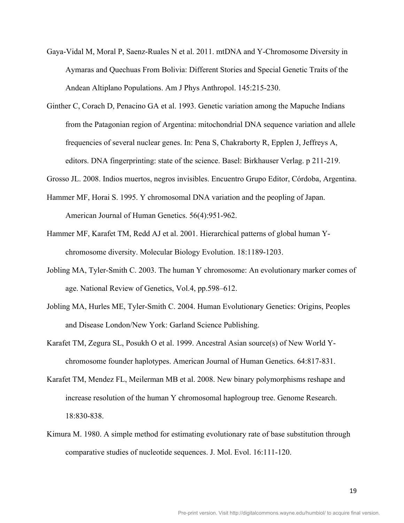- Gaya-Vidal M, Moral P, Saenz-Ruales N et al. 2011. mtDNA and Y-Chromosome Diversity in Aymaras and Quechuas From Bolivia: Different Stories and Special Genetic Traits of the Andean Altiplano Populations. Am J Phys Anthropol. 145:215-230.
- Ginther C, Corach D, Penacino GA et al. 1993. Genetic variation among the Mapuche Indians from the Patagonian region of Argentina: mitochondrial DNA sequence variation and allele frequencies of several nuclear genes. In: Pena S, Chakraborty R, Epplen J, Jeffreys A, editors. DNA fingerprinting: state of the science. Basel: Birkhauser Verlag. p 211-219.
- Grosso JL. 2008. Indios muertos, negros invisibles. Encuentro Grupo Editor, Córdoba, Argentina.
- Hammer MF, Horai S. 1995. Y chromosomal DNA variation and the peopling of Japan. American Journal of Human Genetics. 56(4):951-962.
- Hammer MF, Karafet TM, Redd AJ et al. 2001. Hierarchical patterns of global human Ychromosome diversity. Molecular Biology Evolution. 18:1189-1203.
- Jobling MA, Tyler-Smith C. 2003. The human Y chromosome: An evolutionary marker comes of age. National Review of Genetics, Vol.4, pp.598–612.
- Jobling MA, Hurles ME, Tyler-Smith C. 2004. Human Evolutionary Genetics: Origins, Peoples and Disease London/New York: Garland Science Publishing.
- Karafet TM, Zegura SL, Posukh O et al. 1999. Ancestral Asian source(s) of New World Ychromosome founder haplotypes. American Journal of Human Genetics. 64:817-831.
- Karafet TM, Mendez FL, Meilerman MB et al. 2008. New binary polymorphisms reshape and increase resolution of the human Y chromosomal haplogroup tree. Genome Research. 18:830-838.
- Kimura M. 1980. A simple method for estimating evolutionary rate of base substitution through comparative studies of nucleotide sequences. J. Mol. Evol. 16:111-120.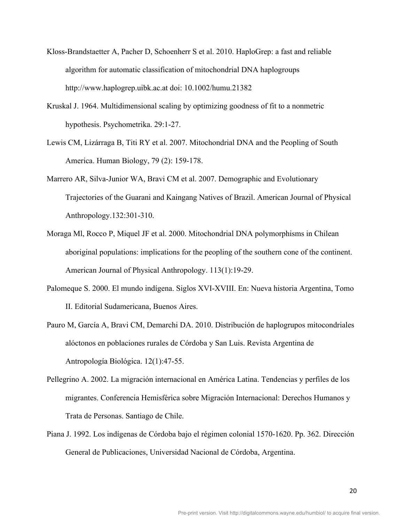- Kloss-Brandstaetter A, Pacher D, Schoenherr S et al. 2010. HaploGrep: a fast and reliable algorithm for automatic classification of mitochondrial DNA haplogroups http://www.haplogrep.uibk.ac.at doi: 10.1002/humu.21382
- Kruskal J. 1964. Multidimensional scaling by optimizing goodness of fit to a nonmetric hypothesis. Psychometrika. 29:1-27.
- Lewis CM, Lizárraga B, Titi RY et al. 2007. Mitochondrial DNA and the Peopling of South America. Human Biology, 79 (2): 159-178.
- Marrero AR, Silva-Junior WA, Bravi CM et al. 2007. Demographic and Evolutionary Trajectories of the Guarani and Kaingang Natives of Brazil. American Journal of Physical Anthropology.132:301-310.
- Moraga Ml, Rocco P, Miquel JF et al. 2000. Mitochondrial DNA polymorphisms in Chilean aboriginal populations: implications for the peopling of the southern cone of the continent. American Journal of Physical Anthropology. 113(1):19-29.
- Palomeque S. 2000. El mundo indígena. Siglos XVI-XVIII. En: Nueva historia Argentina, Tomo II. Editorial Sudamericana, Buenos Aires.
- Pauro M, García A, Bravi CM, Demarchi DA. 2010. Distribución de haplogrupos mitocondriales alóctonos en poblaciones rurales de Córdoba y San Luis. Revista Argentina de Antropología Biológica. 12(1):47-55.
- Pellegrino A. 2002. La migración internacional en América Latina. Tendencias y perfiles de los migrantes. Conferencia Hemisférica sobre Migración Internacional: Derechos Humanos y Trata de Personas. Santiago de Chile.
- Piana J. 1992. Los indígenas de Córdoba bajo el régimen colonial 1570-1620. Pp. 362. Dirección General de Publicaciones, Universidad Nacional de Córdoba, Argentina.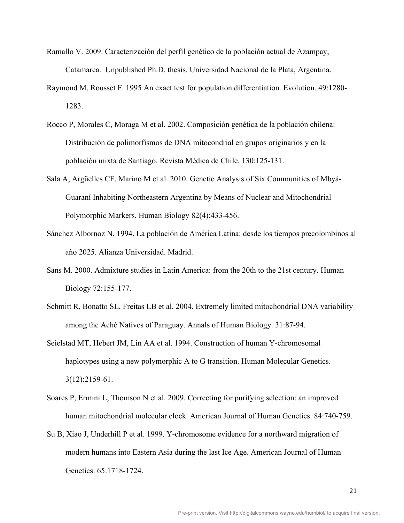- Ramallo V. 2009. Caracterización del perfil genético de la población actual de Azampay, Catamarca. Unpublished Ph.D. thesis. Universidad Nacional de la Plata, Argentina.
- Raymond M, Rousset F. 1995 An exact test for population differentiation. Evolution. 49:1280- 1283.
- Rocco P, Morales C, Moraga M et al. 2002. Composición genética de la población chilena: Distribución de polimorfismos de DNA mitocondrial en grupos originarios y en la población mixta de Santiago. Revista Médica de Chile. 130:125-131.
- Sala A, Argüelles CF, Marino M et al. 2010. Genetic Analysis of Six Communities of Mbyá-Guaraní Inhabiting Northeastern Argentina by Means of Nuclear and Mitochondrial Polymorphic Markers. Human Biology 82(4):433-456.
- Sánchez Albornoz N. 1994. La población de América Latina: desde los tiempos precolombinos al año 2025. Alianza Universidad. Madrid.
- Sans M. 2000. Admixture studies in Latin America: from the 20th to the 21st century. Human Biology 72:155-177.
- Schmitt R, Bonatto SL, Freitas LB et al. 2004. Extremely limited mitochondrial DNA variability among the Aché Natives of Paraguay. Annals of Human Biology. 31:87-94.
- Seielstad MT, Hebert JM, Lin AA et al. 1994. Construction of human Y-chromosomal haplotypes using a new polymorphic A to G transition. Human Molecular Genetics. 3(12):2159-61.
- Soares P, Ermini L, Thomson N et al. 2009. Correcting for purifying selection: an improved human mitochondrial molecular clock. American Journal of Human Genetics. 84:740-759.
- Su B, Xiao J, Underhill P et al. 1999. Y-chromosome evidence for a northward migration of modern humans into Eastern Asia during the last Ice Age. American Journal of Human Genetics. 65:1718-1724.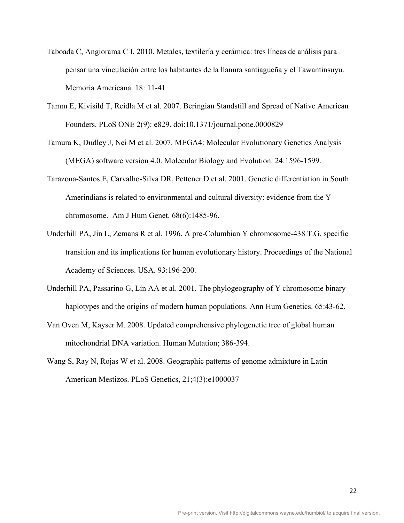- Taboada C, Angiorama C I. 2010. Metales, textilería y cerámica: tres líneas de análisis para pensar una vinculación entre los habitantes de la llanura santiagueña y el Tawantinsuyu. Memoria Americana. 18: 11-41
- Tamm E, Kivisild T, Reidla M et al. 2007. Beringian Standstill and Spread of Native American Founders. PLoS ONE 2(9): e829. doi:10.1371/journal.pone.0000829
- Tamura K, Dudley J, Nei M et al. 2007. MEGA4: Molecular Evolutionary Genetics Analysis (MEGA) software version 4.0. Molecular Biology and Evolution. 24:1596-1599.
- Tarazona-Santos E, Carvalho-Silva DR, Pettener D et al. 2001. Genetic differentiation in South Amerindians is related to environmental and cultural diversity: evidence from the Y chromosome. Am J Hum Genet. 68(6):1485-96.
- Underhill PA, Jin L, Zemans R et al. 1996. A pre-Columbian Y chromosome-438 T.G. specific transition and its implications for human evolutionary history. Proceedings of the National Academy of Sciences. USA. 93:196-200.
- Underhill PA, Passarino G, Lin AA et al. 2001. The phylogeography of Y chromosome binary haplotypes and the origins of modern human populations. Ann Hum Genetics. 65:43-62.
- Van Oven M, Kayser M. 2008. Updated comprehensive phylogenetic tree of global human mitochondrial DNA variation. Human Mutation; 386-394.
- Wang S, Ray N, Rojas W et al. 2008. Geographic patterns of genome admixture in Latin American Mestizos. PLoS Genetics, 21;4(3):e1000037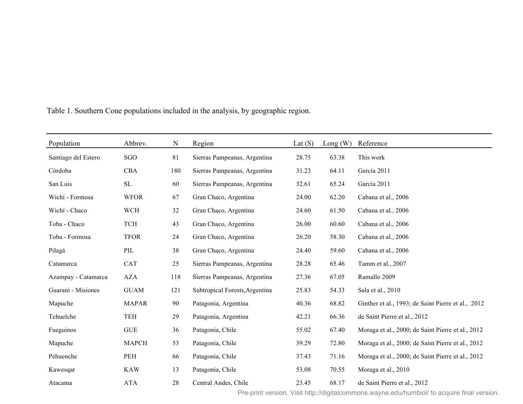| Population          | Abbrev.      | N   | Region                         | Lat $(S)$ | Long(W) | Reference                                          |
|---------------------|--------------|-----|--------------------------------|-----------|---------|----------------------------------------------------|
| Santiago del Estero | SGO          | 81  | Sierras Pampeanas, Argentina   | 28.75     | 63.38   | This work                                          |
| Córdoba             | <b>CBA</b>   | 180 | Sierras Pampeanas, Argentina   | 31.23     | 64.11   | García 2011                                        |
| San Luis            | SL           | 60  | Sierras Pampeanas, Argentina   | 32.61     | 65.24   | García 2011                                        |
| Wichí - Formosa     | <b>WFOR</b>  | 67  | Gran Chaco, Argentina          | 24.00     | 62.20   | Cabana et al., 2006                                |
| Wichí - Chaco       | <b>WCH</b>   | 32  | Gran Chaco, Argentina          | 24.60     | 61.50   | Cabana et al., 2006                                |
| Toba - Chaco        | <b>TCH</b>   | 43  | Gran Chaco, Argentina          | 26.00     | 60.60   | Cabana et al., 2006                                |
| Toba - Formosa      | <b>TFOR</b>  | 24  | Gran Chaco, Argentina          | 26.20     | 58.30   | Cabana et al., 2006                                |
| Pilagá              | PIL          | 38  | Gran Chaco, Argentina          | 24.40     | 59.60   | Cabana et al., 2006                                |
| Catamarca           | <b>CAT</b>   | 25  | Sierras Pampeanas, Argentina   | 28.28     | 65.46   | Tamm et al., 2007                                  |
| Azampay - Catamarca | <b>AZA</b>   | 118 | Sierras Pampeanas, Argentina   | 27.36     | 67.05   | Ramallo 2009                                       |
| Guarani - Misiones  | <b>GUAM</b>  | 121 | Subtropical Forests, Argentina | 25.83     | 54.33   | Sala et al., 2010                                  |
| Mapuche             | <b>MAPAR</b> | 90  | Patagonia, Argentina           | 40.36     | 68.82   | Ginther et al., 1993; de Saint Pierre et al., 2012 |
| Tehuelche           | <b>TEH</b>   | 29  | Patagonia, Argentina           | 42.21     | 66.36   | de Saint Pierre et al., 2012                       |
| Fueguinos           | <b>GUE</b>   | 36  | Patagonia, Chile               | 55.02     | 67.40   | Moraga et al., 2000; de Saint Pierre et al., 2012  |
| Mapuche             | <b>MAPCH</b> | 53  | Patagonia, Chile               | 39.29     | 72.80   | Moraga et al., 2000; de Saint Pierre et al., 2012  |
| Pehuenche           | PEH          | 66  | Patagonia, Chile               | 37.43     | 71.16   | Moraga et al., 2000; de Saint Pierre et al., 2012  |
| Kawesqar            | <b>KAW</b>   | 13  | Patagonia, Chile               | 53.08     | 70.55   | Moraga et al., 2010                                |
| Atacama             | <b>ATA</b>   | 28  | Central Andes, Chile           | 23.45     | 68.17   | de Saint Pierre et al., 2012                       |

Table 1. Southern Cone populations included in the analysis, by geographic region.

Pre-print version. Visit http://digitalcommons.wayne.edu/humbiol/ to acquire final version.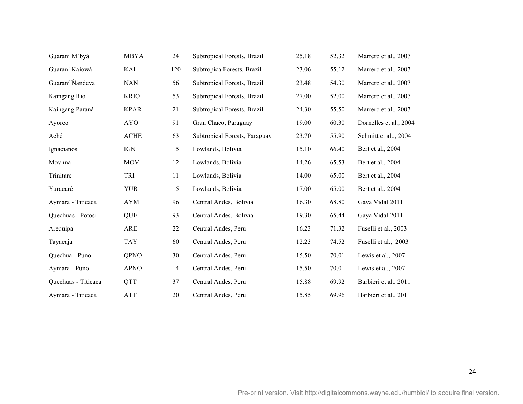| Guaraní M'byá       | <b>MBYA</b> | 24  | Subtropical Forests, Brazil   | 25.18 | 52.32 | Marrero et al., 2007   |
|---------------------|-------------|-----|-------------------------------|-------|-------|------------------------|
| Guaraní Kaiowá      | KAI         | 120 | Subtropica Forests, Brazil    | 23.06 | 55.12 | Marrero et al., 2007   |
| Guaraní Nandeva     | <b>NAN</b>  | 56  | Subtropical Forests, Brazil   | 23.48 | 54.30 | Marrero et al., 2007   |
| Kaingang Rio        | <b>KRIO</b> | 53  | Subtropical Forests, Brazil   | 27.00 | 52.00 | Marrero et al., 2007   |
| Kaingang Paraná     | <b>KPAR</b> | 21  | Subtropical Forests, Brazil   | 24.30 | 55.50 | Marrero et al., 2007   |
| Ayoreo              | <b>AYO</b>  | 91  | Gran Chaco, Paraguay          | 19.00 | 60.30 | Dornelles et al., 2004 |
| Aché                | <b>ACHE</b> | 63  | Subtropical Forests, Paraguay | 23.70 | 55.90 | Schmitt et al., 2004   |
| Ignacianos          | IGN         | 15  | Lowlands, Bolivia             | 15.10 | 66.40 | Bert et al., 2004      |
| Movima              | <b>MOV</b>  | 12  | Lowlands, Bolivia             | 14.26 | 65.53 | Bert et al., 2004      |
| Trinitare           | TRI         | 11  | Lowlands, Bolivia             | 14.00 | 65.00 | Bert et al., 2004      |
| Yuracaré            | <b>YUR</b>  | 15  | Lowlands, Bolivia             | 17.00 | 65.00 | Bert et al., 2004      |
| Aymara - Titicaca   | <b>AYM</b>  | 96  | Central Andes, Bolivia        | 16.30 | 68.80 | Gaya Vidal 2011        |
| Quechuas - Potosi   | QUE         | 93  | Central Andes, Bolivia        | 19.30 | 65.44 | Gaya Vidal 2011        |
| Arequipa            | ARE         | 22  | Central Andes, Peru           | 16.23 | 71.32 | Fuselli et al., 2003   |
| Tayacaja            | <b>TAY</b>  | 60  | Central Andes, Peru           | 12.23 | 74.52 | Fuselli et al., 2003   |
| Quechua - Puno      | QPNO        | 30  | Central Andes, Peru           | 15.50 | 70.01 | Lewis et al., 2007     |
| Aymara - Puno       | <b>APNO</b> | 14  | Central Andes, Peru           | 15.50 | 70.01 | Lewis et al., 2007     |
| Quechuas - Titicaca | <b>QTT</b>  | 37  | Central Andes, Peru           | 15.88 | 69.92 | Barbieri et al., 2011  |
| Aymara - Titicaca   | <b>ATT</b>  | 20  | Central Andes, Peru           | 15.85 | 69.96 | Barbieri et al., 2011  |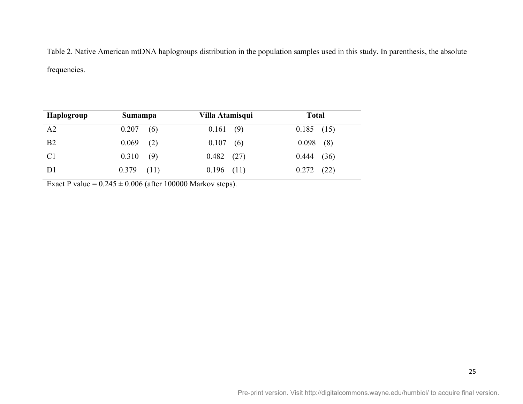Table 2. Native American mtDNA haplogroups distribution in the population samples used in this study. In parenthesis, the absolute frequencies.

| Haplogroup     | Sumampa       | Villa Atamisqui | <b>Total</b>  |  |
|----------------|---------------|-----------------|---------------|--|
| A2             | 0.207<br>(6)  | 0.161(9)        | $0.185$ (15)  |  |
| B <sub>2</sub> | 0.069<br>(2)  | $0.107$ (6)     | $0.098$ (8)   |  |
| C <sub>1</sub> | 0.310<br>(9)  | $0.482$ (27)    | 0.444(36)     |  |
| D <sub>1</sub> | 0.379<br>(11) | 0.196<br>(11)   | 0.272<br>(22) |  |

Exact P value =  $0.245 \pm 0.006$  (after 100000 Markov steps).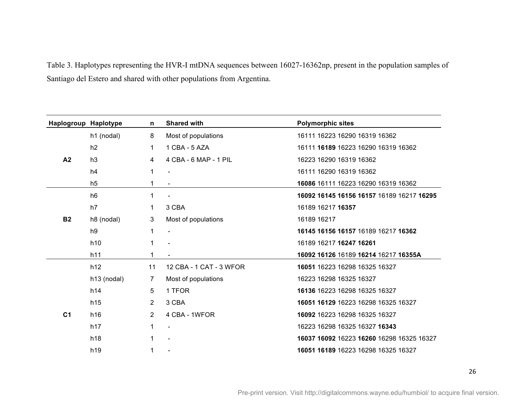Table 3. Haplotypes representing the HVR-I mtDNA sequences between 16027-16362np, present in the population samples of Santiago del Estero and shared with other populations from Argentina.

| Haplogroup Haplotype |                 | n              | <b>Shared with</b>       | <b>Polymorphic sites</b>                  |
|----------------------|-----------------|----------------|--------------------------|-------------------------------------------|
|                      | h1 (nodal)      | 8              | Most of populations      | 16111 16223 16290 16319 16362             |
|                      | h2              | 1              | 1 CBA - 5 AZA            | 16111 16189 16223 16290 16319 16362       |
| A <sub>2</sub>       | h3              | 4              | 4 CBA - 6 MAP - 1 PIL    | 16223 16290 16319 16362                   |
|                      | h4              | 1              |                          | 16111 16290 16319 16362                   |
|                      | h <sub>5</sub>  |                |                          | 16086 16111 16223 16290 16319 16362       |
|                      | h <sub>6</sub>  | 1              |                          | 16092 16145 16156 16157 16189 16217 16295 |
|                      | h7              | 1              | 3 CBA                    | 16189 16217 16357                         |
| <b>B2</b>            | h8 (nodal)      | 3              | Most of populations      | 16189 16217                               |
|                      | h9              |                | $\overline{\phantom{a}}$ | 16145 16156 16157 16189 16217 16362       |
|                      | h10             |                |                          | 16189 16217 16247 16261                   |
|                      | h11             | 1              |                          | 16092 16126 16189 16214 16217 16355A      |
|                      | h12             | 11             | 12 CBA - 1 CAT - 3 WFOR  | 16051 16223 16298 16325 16327             |
|                      | h13 (nodal)     | 7              | Most of populations      | 16223 16298 16325 16327                   |
|                      | h14             | 5              | 1 TFOR                   | 16136 16223 16298 16325 16327             |
|                      | h15             | $\overline{2}$ | 3 CBA                    | 16051 16129 16223 16298 16325 16327       |
| C <sub>1</sub>       | h16             | $\overline{2}$ | 4 CBA - 1WFOR            | 16092 16223 16298 16325 16327             |
|                      | h17             | 1              |                          | 16223 16298 16325 16327 16343             |
|                      | h <sub>18</sub> |                |                          | 16037 16092 16223 16260 16298 16325 16327 |
|                      | h19             |                |                          | 16051 16189 16223 16298 16325 16327       |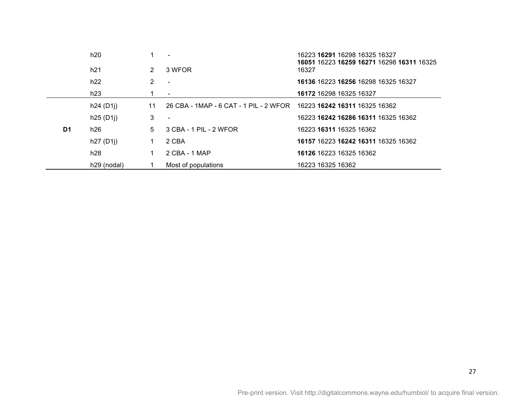|    | h20         |               |                                                                      | 16223 16291 16298 16325 16327<br>16051 16223 16259 16271 16298 16311 16325 |
|----|-------------|---------------|----------------------------------------------------------------------|----------------------------------------------------------------------------|
|    | h21         | $\mathcal{P}$ | 3 WFOR                                                               | 16327                                                                      |
|    | h22         | 2             |                                                                      | 16136 16223 16256 16298 16325 16327                                        |
|    | h23         |               | $\overline{\phantom{a}}$                                             | 16172 16298 16325 16327                                                    |
|    | h24(D1j)    | 11            | 26 CBA - 1MAP - 6 CAT - 1 PIL - 2 WFOR 16223 16242 16311 16325 16362 |                                                                            |
|    | h25(D1j)    | 3             |                                                                      | 16223 16242 16286 16311 16325 16362                                        |
| D1 | h26         | 5.            | 3 CBA - 1 PIL - 2 WFOR                                               | 16223 16311 16325 16362                                                    |
|    | h27(D1j)    |               | 2 CBA                                                                | 16157 16223 16242 16311 16325 16362                                        |
|    | h28         | 1.            | 2 CBA - 1 MAP                                                        | 16126 16223 16325 16362                                                    |
|    | h29 (nodal) |               | Most of populations                                                  | 16223 16325 16362                                                          |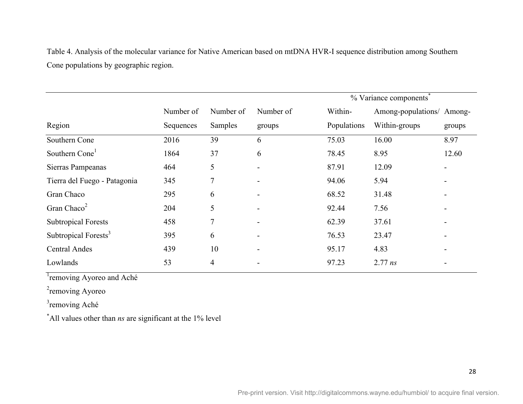Table 4. Analysis of the molecular variance for Native American based on mtDNA HVR-I sequence distribution among Southern Cone populations by geographic region.

|                                  |           |           |           |             | % Variance components     |        |
|----------------------------------|-----------|-----------|-----------|-------------|---------------------------|--------|
|                                  | Number of | Number of | Number of | Within-     | Among-populations/ Among- |        |
| Region                           | Sequences | Samples   | groups    | Populations | Within-groups             | groups |
| Southern Cone                    | 2016      | 39        | 6         | 75.03       | 16.00                     | 8.97   |
| Southern Cone <sup>1</sup>       | 1864      | 37        | 6         | 78.45       | 8.95                      | 12.60  |
| Sierras Pampeanas                | 464       | 5         |           | 87.91       | 12.09                     |        |
| Tierra del Fuego - Patagonia     | 345       | 7         |           | 94.06       | 5.94                      |        |
| Gran Chaco                       | 295       | 6         |           | 68.52       | 31.48                     |        |
| Gran Chaco <sup>2</sup>          | 204       | 5         |           | 92.44       | 7.56                      |        |
| <b>Subtropical Forests</b>       | 458       | 7         |           | 62.39       | 37.61                     |        |
| Subtropical Forests <sup>3</sup> | 395       | 6         |           | 76.53       | 23.47                     |        |
| <b>Central Andes</b>             | 439       | 10        |           | 95.17       | 4.83                      |        |
| Lowlands                         | 53        | 4         |           | 97.23       | $2.77$ $ns$               |        |

<sup>1</sup>removing Ayoreo and Aché

<sup>2</sup>removing Ayoreo

<sup>3</sup>removing Aché

\* All values other than *ns* are significant at the 1% level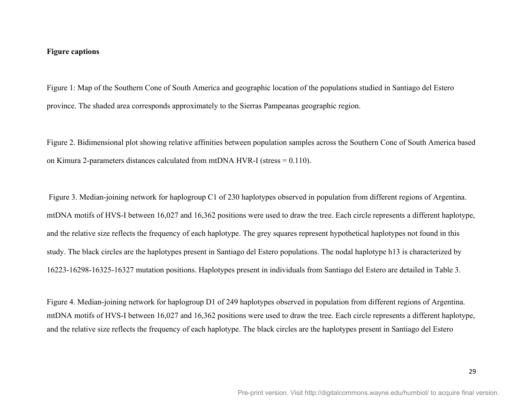#### **Figure captions**

Figure 1: Map of the Southern Cone of South America and geographic location of the populations studied in Santiago del Estero province. The shaded area corresponds approximately to the Sierras Pampeanas geographic region.

Figure 2. Bidimensional plot showing relative affinities between population samples across the Southern Cone of South America based on Kimura 2-parameters distances calculated from mtDNA HVR-I (stress = 0.110).

 Figure 3. Median-joining network for haplogroup C1 of 230 haplotypes observed in population from different regions of Argentina. mtDNA motifs of HVS-I between 16,027 and 16,362 positions were used to draw the tree. Each circle represents a different haplotype, and the relative size reflects the frequency of each haplotype. The grey squares represent hypothetical haplotypes not found in this study. The black circles are the haplotypes present in Santiago del Estero populations. The nodal haplotype h13 is characterized by 16223-16298-16325-16327 mutation positions. Haplotypes present in individuals from Santiago del Estero are detailed in Table 3.

Figure 4. Median-joining network for haplogroup D1 of 249 haplotypes observed in population from different regions of Argentina. mtDNA motifs of HVS-I between 16,027 and 16,362 positions were used to draw the tree. Each circle represents a different haplotype, and the relative size reflects the frequency of each haplotype. The black circles are the haplotypes present in Santiago del Estero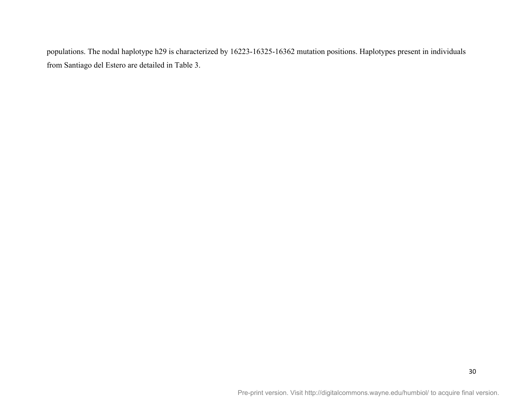populations. The nodal haplotype h29 is characterized by 16223-16325-16362 mutation positions. Haplotypes present in individuals from Santiago del Estero are detailed in Table 3.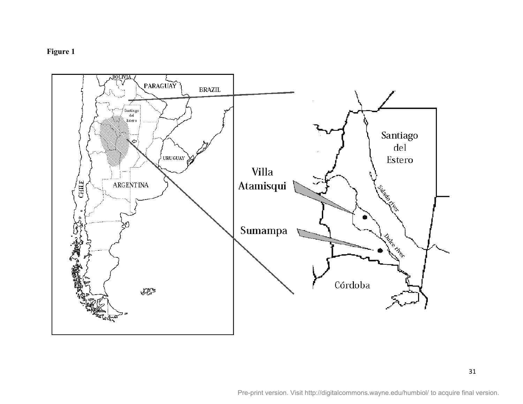# **Figure 1**

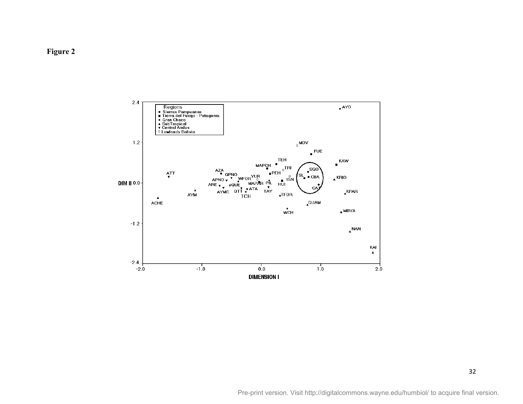

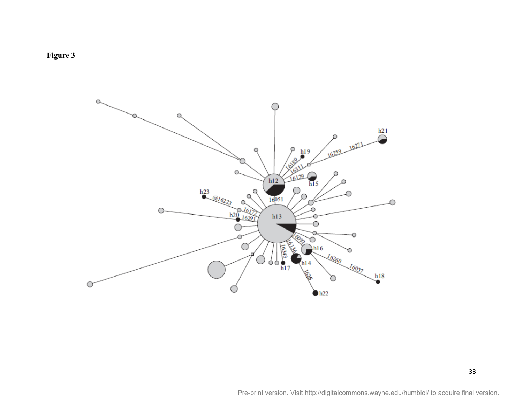

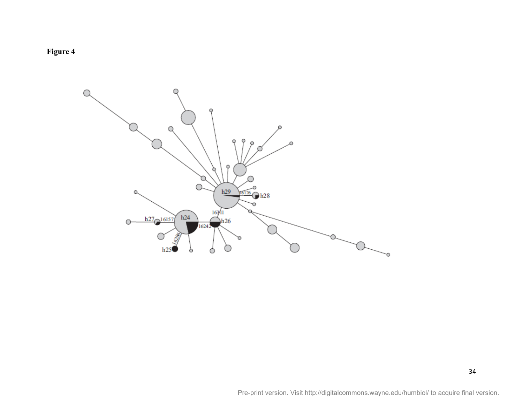

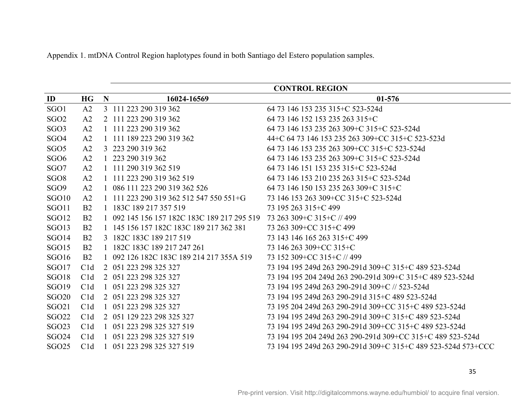Appendix 1. mtDNA Control Region haplotypes found in both Santiago del Estero population samples.

|                   |                |             |                                             | <b>CONTROL REGION</b>                                         |
|-------------------|----------------|-------------|---------------------------------------------|---------------------------------------------------------------|
| $\mathbf{ID}$     | <b>HG</b>      | $\mathbf N$ | 16024-16569                                 | 01-576                                                        |
| SGO1              | A2             |             | 3 111 223 290 319 362                       | 64 73 146 153 235 315 + C 523-524d                            |
| SGO <sub>2</sub>  | A2             |             | 2 111 223 290 319 362                       | 64 73 146 152 153 235 263 315+C                               |
| SGO <sub>3</sub>  | A2             |             | 1 111 223 290 319 362                       | 64 73 146 153 235 263 309 + C 315 + C 523-524d                |
| SGO <sub>4</sub>  | A2             |             | 1 111 189 223 290 319 362                   | 44+C 64 73 146 153 235 263 309+CC 315+C 523-523d              |
| SGO <sub>5</sub>  | A2             |             | 3 223 290 319 362                           | 64 73 146 153 235 263 309 + CC 315 + C 523-524d               |
| SGO <sub>6</sub>  | A <sub>2</sub> |             | 223 290 319 362                             | 64 73 146 153 235 263 309 + C 315 + C 523-524d                |
| SGO7              | A2             |             | 1 111 290 319 362 519                       | 64 73 146 151 153 235 315 + C 523-524d                        |
| SGO <sub>8</sub>  | A2             |             | 1 111 223 290 319 362 519                   | 64 73 146 153 210 235 263 315+C 523-524d                      |
| SGO9              | A <sub>2</sub> |             | 1 086 111 223 290 319 362 526               | 64 73 146 150 153 235 263 309+C 315+C                         |
| SGO <sub>10</sub> | A <sub>2</sub> |             | 1 111 223 290 319 362 512 547 550 551 + G   | 73 146 153 263 309 + CC 315 + C 523-524d                      |
| SGO11             | B <sub>2</sub> |             | 1 183C 189 217 357 519                      | 73 195 263 315 + C 499                                        |
| SGO <sub>12</sub> | B <sub>2</sub> |             | 1 092 145 156 157 182C 183C 189 217 295 519 | 73 263 309+C 315+C // 499                                     |
| SGO13             | B <sub>2</sub> |             | 1 145 156 157 182C 183C 189 217 362 381     | 73 263 309+CC 315+C 499                                       |
| SGO <sub>14</sub> | B <sub>2</sub> |             | 3 182C 183C 189 217 519                     | 73 143 146 165 263 315 + C 499                                |
| SGO15             | B <sub>2</sub> |             | 1 182C 183C 189 217 247 261                 | 73 146 263 309 + CC 315 + C                                   |
| <b>SGO16</b>      | B <sub>2</sub> |             | 1 092 126 182C 183C 189 214 217 355A 519    | 73 152 309 + CC 315 + C // 499                                |
| SGO17             | C1d            |             | 2 051 223 298 325 327                       | 73 194 195 249d 263 290-291d 309+C 315+C 489 523-524d         |
| SGO18             | C1d            |             | 2 051 223 298 325 327                       | 73 194 195 204 249d 263 290-291d 309+C 315+C 489 523-524d     |
| <b>SGO19</b>      | C1d            |             | 1 051 223 298 325 327                       | 73 194 195 249d 263 290-291d 309+C // 523-524d                |
| <b>SGO20</b>      | C1d            |             | 2 051 223 298 325 327                       | 73 194 195 249d 263 290-291d 315+C 489 523-524d               |
| <b>SGO21</b>      | C1d            |             | 1 051 223 298 325 327                       | 73 195 204 249d 263 290-291d 309+CC 315+C 489 523-524d        |
| <b>SGO22</b>      | C1d            |             | 2 051 129 223 298 325 327                   | 73 194 195 249d 263 290-291d 309+C 315+C 489 523-524d         |
| <b>SGO23</b>      | C1d            |             | 051 223 298 325 327 519                     | 73 194 195 249d 263 290-291d 309+CC 315+C 489 523-524d        |
| <b>SGO24</b>      | C1d            |             | 051 223 298 325 327 519                     | 73 194 195 204 249d 263 290-291d 309+CC 315+C 489 523-524d    |
| <b>SGO25</b>      | C1d            |             | 1 051 223 298 325 327 519                   | 73 194 195 249d 263 290-291d 309+C 315+C 489 523-524d 573+CCC |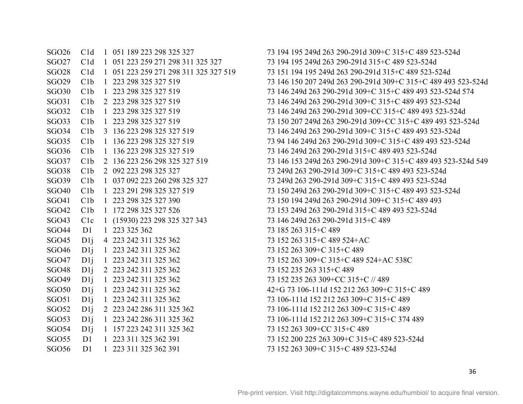SGO27 C1d 1 051 223 259 271 298 311 325 327 73 194 195 249d 263 290-291d 315+C 489 523-524d SGO36 C1b 1 136 223 298 325 327 519 73 146 249d 263 290-291d 315+C 489 493 523-524d SGO38 C1b 2 092 223 298 325 327 73 249d 263 290-291d 309+C 315+C 489 493 523-524d SGO39 C1b 1 037 092 223 260 298 325 327 73 249d 263 290-291d 309+C 315+C 489 493 523-524d SGO41 C1b 1 223 298 325 327 390 73 150 194 249d 263 290-291d 309+C 315+C 489 493 SGO42 C1b 1 172 298 325 327 526 73 153 249d 263 290-291d 315+C 489 493 523-524d SGO43 C1c 1 (15930) 223 298 325 327 343 73 146 249d 263 290-291d 315+C 489 SGO44 D1 1 223 325 362 73 185 263 315 + C 489 SGO45 D1j 4 223 242 311 325 362 73 152 263 315+C 489 524+AC SGO46 D1 1 223 242 311 325 362 73 152 263 309 + C 315 + C 489 SGO47 D1j 1 223 242 311 325 362 73 152 263 309+C 315+C 489 524+AC 538C SGO48 D1j 2 223 242 311 325 362 73 152 235 263 315 + C 489 SGO49 D1j 1 223 242 311 325 362 73 152 235 263 309 + CC 315 + C // 489 SGO50 D1j 1 223 242 311 325 362 42+G 73 106-111d 152 212 263 309+C 315+C 489 SGO51 D1j 1 223 242 311 325 362 73 106-111d 152 212 263 309+C 315+C 489 SGO52 D1j 2 223 242 286 311 325 362 73 106-111d 152 212 263 309+C 315+C 489 SGO53 D1j 1 223 242 286 311 325 362 73 106-111d 152 212 263 309+C 315+C 374 489 SGO54 D1j 1 157 223 242 311 325 362 73 152 263 309 + CC 315 + C 489 SGO55 D1 1 223 311 325 362 391 73 152 200 225 263 309+C 315+C 489 523-524d SGO56 D1 1 223 311 325 362 391 73 152 263 309+C 315+C 489 523-524d

SGO26 C1d 1 051 189 223 298 325 327 73 194 195 249d 263 290-291d 309+C 315+C 489 523-524d SGO28 C1d 1 051 223 259 271 298 311 325 327 519 73 151 194 195 249d 263 290-291d 315+C 489 523-524d SGO29 C1b 1 223 298 325 327 519 73 146 150 207 249d 263 290-291d 309+C 315+C 489 493 523-524d SGO30 C1b 1 223 298 325 327 519 73 146 249d 263 290-291d 309+C 315+C 489 493 523-524d 574 SGO31 C1b 2 223 298 325 327 519 73 146 249d 263 290-291d 309+C 315+C 489 493 523-524d SGO32 C1b 1 223 298 325 327 519 73 146 249d 263 290-291d 309+CC 315+C 489 493 523-524d SGO33 C1b 1 223 298 325 327 519 73 150 207 249d 263 290-291d 309+CC 315+C 489 493 523-524d SGO34 C1b 3 136 223 298 325 327 519 73 146 249d 263 290-291d 309+C 315+C 489 493 523-524d SGO35 C1b 1 136 223 298 325 327 519 73 94 146 249d 263 290-291d 309+C 315+C 489 493 523-524d SGO37 C1b 2 136 223 256 298 325 327 519 73 146 153 249d 263 290-291d 309+C 315+C 489 493 523-524d 549 SGO40 C1b 1 223 291 298 325 327 519 73 150 249d 263 290-291d 309+C 315+C 489 493 523-524d

36